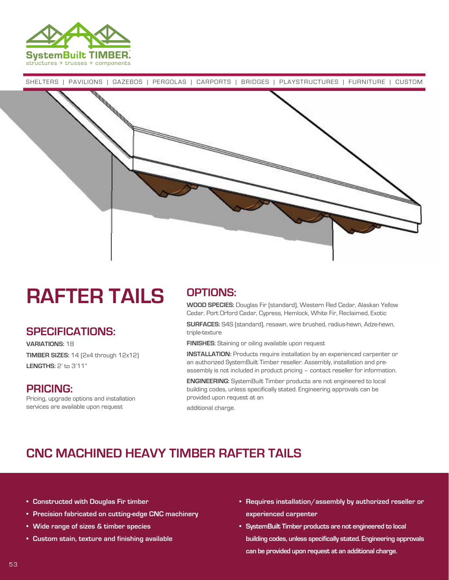

SHELTERS | PAVILIONS | GAZEBOS | PERGOLAS | CARPORTS | BRIDGES | PLAYSTRUCTURES | FURNITURE | CUSTOM



# **RAFTER TAILS**

#### **SPECIFICATIONS:**

**VARIATIONS:** 18 **TIMBER SIZES:** 14 (2x4 through 12x12) **LENGTHS:** 2' to 3'11"

#### **PRICING:**

Pricing, upgrade options and installation services are available upon request

### **OPTIONS:**

**WOOD SPECIES:** Douglas Fir (standard), Western Red Cedar, Alaskan Yellow Cedar, Port Orford Cedar, Cypress, Hemlock, White Fir, Reclaimed, Exotic

**SURFACES:** S4S (standard), resawn, wire brushed, radius-hewn, Adze-hewn, triple-texture

**FINISHES:** Staining or oiling available upon request

**INSTALLATION:** Products require installation by an experienced carpenter or an authorized SystemBuilt Timber reseller. Assembly, installation and preassembly is not included in product pricing – contact reseller for information.

**ENGINEERING:** SystemBuilt Timber products are not engineered to local building codes, unless specifically stated. Engineering approvals can be provided upon request at an

additional charge.

### **CNC MACHINED HEAVY TIMBER RAFTER TAILS**

- **• Constructed with Douglas Fir timber**
- **• Precision fabricated on cutting-edge CNC machinery**
- **• Wide range of sizes & timber species**
- **• Custom stain, texture and finishing available**
- **• Requires installation/assembly by authorized reseller or experienced carpenter**
- **• SystemBuilt Timber products are not engineered to local building codes, unless specifically stated. Engineering approvals can be provided upon request at an additional charge.**